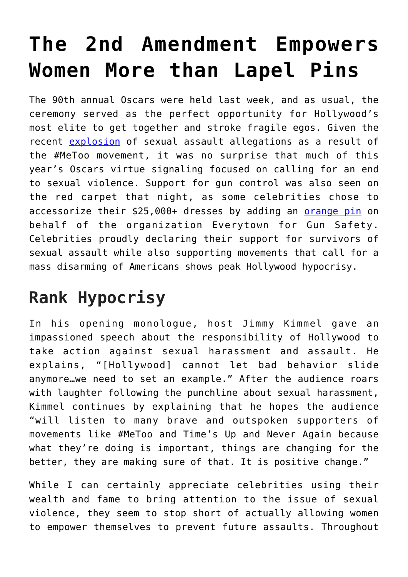## **[The 2nd Amendment Empowers](https://intellectualtakeout.org/2018/03/the-2nd-amendment-empowers-women-more-than-lapel-pins/) [Women More than Lapel Pins](https://intellectualtakeout.org/2018/03/the-2nd-amendment-empowers-women-more-than-lapel-pins/)**

The 90th annual Oscars were held last week, and as usual, the ceremony served as the perfect opportunity for Hollywood's most elite to get together and stroke fragile egos. Given the recent [explosion](https://www.theatlantic.com/entertainment/archive/2017/10/the-movement-of-metoo/542979/) of sexual assault allegations as a result of the #MeToo movement, it was no surprise that much of this year's Oscars virtue signaling focused on calling for an end to sexual violence. Support for gun control was also seen on the red carpet that night, as some celebrities chose to accessorize their \$25,000+ dresses by adding an [orange pin](http://people.com/style/oscars-2018-orange-anti-gun-violence-pins-everytown/) on behalf of the organization Everytown for Gun Safety. Celebrities proudly declaring their support for survivors of sexual assault while also supporting movements that call for a mass disarming of Americans shows peak Hollywood hypocrisy.

## **Rank Hypocrisy**

In his opening monologue, host Jimmy Kimmel gave an impassioned speech about the responsibility of Hollywood to take action against sexual harassment and assault. He explains, "[Hollywood] cannot let bad behavior slide anymore…we need to set an example." After the audience roars with laughter following the punchline about sexual harassment, Kimmel continues by explaining that he hopes the audience "will listen to many brave and outspoken supporters of movements like #MeToo and Time's Up and Never Again because what they're doing is important, things are changing for the better, they are making sure of that. It is positive change."

While I can certainly appreciate celebrities using their wealth and fame to bring attention to the issue of sexual violence, they seem to stop short of actually allowing women to empower themselves to prevent future assaults. Throughout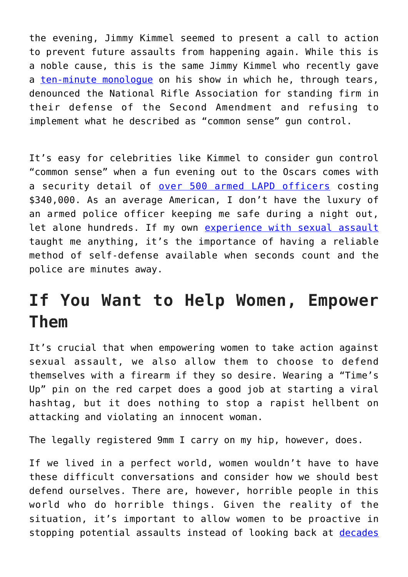the evening, Jimmy Kimmel seemed to present a call to action to prevent future assaults from happening again. While this is a noble cause, this is the same Jimmy Kimmel who recently gave a [ten-minute monologue](https://www.youtube.com/watch?v=ruYeBXudsds) on his show in which he, through tears, denounced the National Rifle Association for standing firm in their defense of the Second Amendment and refusing to implement what he described as "common sense" gun control.

It's easy for celebrities like Kimmel to consider gun control "common sense" when a fun evening out to the Oscars comes with a security detail of [over 500 armed LAPD officers](http://variety.com/2018/film/awards/oscars-security-2018-red-carpet-1202716110/) costing \$340,000. As an average American, I don't have the luxury of an armed police officer keeping me safe during a night out, let alone hundreds. If my own [experience with sexual assault](https://www.circa.com/story/2018/02/05/nation/this-rape-victim-says-the-metoo-movement-should-include-gun-rights) taught me anything, it's the importance of having a reliable method of self-defense available when seconds count and the police are minutes away.

## **If You Want to Help Women, Empower Them**

It's crucial that when empowering women to take action against sexual assault, we also allow them to choose to defend themselves with a firearm if they so desire. Wearing a "Time's Up" pin on the red carpet does a good job at starting a viral hashtag, but it does nothing to stop a rapist hellbent on attacking and violating an innocent woman.

The legally registered 9mm I carry on my hip, however, does.

If we lived in a perfect world, women wouldn't have to have these difficult conversations and consider how we should best defend ourselves. There are, however, horrible people in this world who do horrible things. Given the reality of the situation, it's important to allow women to be proactive in stopping potential assaults instead of looking back at [decades](http://www.bbc.com/news/entertainment-arts-41594672)